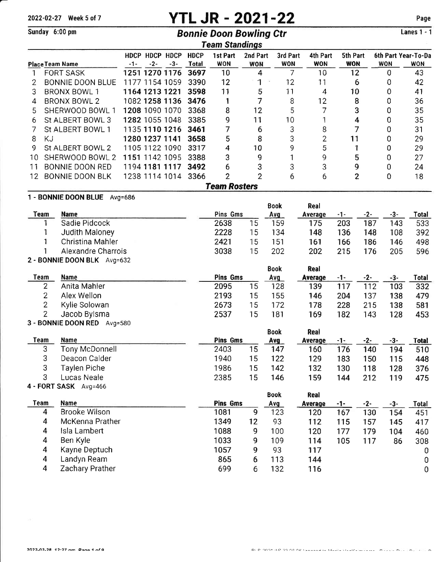### 2022-02-27 Week 5 of 7

# **YTL JR - 2021-22 Bonnie Doon Bowling Ctr**

Sunday 6:00 pm

### Page

Lanes  $1 - 1$ 

|     |      |                       |           |                    |                |                             | <b>Team Standings</b>  |                        |                        |                        |                        |              |                                   |
|-----|------|-----------------------|-----------|--------------------|----------------|-----------------------------|------------------------|------------------------|------------------------|------------------------|------------------------|--------------|-----------------------------------|
|     |      | Place Team Name       | -1-       | HDCP HDCP<br>$-2-$ | HDCP<br>-3-    | <b>HDCP</b><br><b>Total</b> | 1st Part<br><b>WON</b> | 2nd Part<br><b>WON</b> | 3rd Part<br><b>WON</b> | 4th Part<br><b>WON</b> | 5th Part<br><b>WON</b> | <b>WON</b>   | 6th Part Year-To-Da<br><b>WON</b> |
|     |      | FORT SASK             |           |                    | 1251 1270 1176 | 3697                        | 10                     | 4                      |                        | 10                     | 12                     | 0            | 43                                |
|     |      | BONNIE DOON BLUE      |           | 1177 1154 1059     |                | 3390                        | 12                     | 1                      | 12                     | 11                     | 6                      | 0            | 42                                |
| 3   |      | <b>BRONX BOWL 1</b>   |           | 1164 1213 1221     |                | 3598                        | 11                     | 5                      | 11                     | 4                      | 10                     | 0            | 41                                |
| 4   |      | <b>BRONX BOWL 2</b>   |           |                    | 1082 1258 1136 | 3476                        |                        |                        | 8                      | 12                     | 8                      | 0            | 36                                |
| 5   |      | SHERWOOD BOWL 1       |           | 1208 1090 1070     |                | 3368                        | 8                      | 12                     | 5                      |                        | 3                      |              | 35                                |
| 6   |      | St ALBERT BOWL 3      |           | 1282 1055 1048     |                | 3385                        | 9                      | 11                     | 10                     |                        | 4                      | 0            | 35                                |
|     |      | St ALBERT BOWL 1      |           | 1135 1110 1216     |                | 3461                        |                        | 6                      | 3                      | 8                      |                        | 0            | 31                                |
| 8   | ΚJ   |                       |           | 1280 1237 1141     |                | 3658                        | 5                      | 8                      | 3                      | 2                      | 11                     | 0            | 29                                |
| 9   |      | St ALBERT BOWL 2      |           | 1105 1122 1090     |                | 3317                        | 4                      | 10                     | 9                      | 5                      |                        | 0            | 29                                |
| 10  |      | SHERWOOD BOWL 2       |           | 1151 1142 1095     |                | 3388                        | 3                      | 9                      |                        | 9                      | 5                      | 0            | 27                                |
| 11  |      | BONNIE DOON RED       |           | 1194 1181 1117     |                | 3492                        | 6                      | 3                      | 3                      | 3                      | 9                      | 0            | 24                                |
| 12. |      | BONNIE DOON BLK       |           |                    | 1238 1114 1014 | 3366                        | 2                      | 2                      | 6                      | 6                      | 2                      | 0            | 18                                |
|     |      |                       |           |                    |                |                             | <b>Team Rosters</b>    |                        |                        |                        |                        |              |                                   |
|     |      | 1 - BONNIE DOON BLUE  | $Avq=686$ |                    |                |                             |                        |                        |                        |                        |                        |              |                                   |
|     |      |                       |           |                    |                |                             |                        |                        | <b>Book</b>            | Real                   |                        |              |                                   |
|     | Team | <b>Name</b>           |           |                    |                |                             | Pins Gms               |                        | Avg                    | Average                | -1-                    | -3-<br>$-2-$ | Total                             |
|     |      | Sadie Pidcock         |           |                    |                |                             | 2638                   | 15                     | 159                    | 175                    | 203                    | 187<br>143   | 533                               |
|     |      | <b>Judith Maloney</b> |           |                    |                |                             | 2228                   | 15                     | 134                    | 148                    | 136                    | 148<br>108   | 392                               |
|     |      | Christina Mahler      |           |                    |                |                             | 2421                   | 15                     | 151                    | 161                    | 166                    | 186<br>146   | 498                               |

|      | Alexandre Charrois             | 3038            | 15 | 202         | 202     | 215 | 176 | 205 | 596   |
|------|--------------------------------|-----------------|----|-------------|---------|-----|-----|-----|-------|
|      | 2 - BONNIE DOON BLK Avg=632    |                 |    |             |         |     |     |     |       |
|      |                                |                 |    | <b>Book</b> | Real    |     |     |     |       |
| Team | <b>Name</b>                    | <b>Pins Gms</b> |    | <b>Avg</b>  | Average | -1- | -2- | -3- | Total |
|      | Anita Mahler                   | 2095            | 15 | 128         | 139     | 117 | 112 | 103 | 332   |
|      | Alex Wellon                    | 2193            | 15 | 155         | 146     | 204 | 137 | 138 | 479   |
| 2    | Kylie Solowan                  | 2673            | 15 | 172         | 178     | 228 | 215 | 138 | 581   |
|      | Jacob Bylsma                   | 2537            | 15 | 181         | 169     | 182 | 143 | 128 | 453   |
|      | 3 - BONNIE DOON RED<br>Avg=580 |                 |    |             |         |     |     |     |       |
|      |                                |                 |    | <b>Rook</b> | Dool    |     |     |     |       |

|      |                |          |    | レソウム | …w      |      |     |     |       |
|------|----------------|----------|----|------|---------|------|-----|-----|-------|
| Team | Name           | Pins Gms |    | Avg  | Average | -1-  | -2- | -3- | Total |
| C    | Tony McDonnell | 2403     | 15 | 147  | 160     | '76. | 140 | 194 | 510   |
|      | Deacon Calder  | 1940     | 15 | 122  | 129     | 183  | 150 | 115 | 448   |
|      | Taylen Piche   | 1986     |    | 142  | 132     | 130  | 118 | 128 | 376   |
|      | Lucas Neale    | 2385     | Þ  | 146  | 159     | 144  | 212 | 119 | 475   |

### 4 - FORT SASK Avg=466

|                      |      |    | Book       | Real    |     |     |     |       |
|----------------------|------|----|------------|---------|-----|-----|-----|-------|
| <b>Name</b>          |      |    | <b>Avg</b> | Average | -1- | -2- | -3- | Total |
| <b>Brooke Wilson</b> | 1081 | 9  | 123        | 120     | 167 | 130 | 154 | 451   |
| McKenna Prather      | 1349 | 12 | 93         | 112     | 115 | 157 | 145 | 417   |
| Isla Lambert         | 1088 | 9  | 100        | 120     | 177 | 179 | 104 | 460   |
| Ben Kyle             | 1033 | 9  | 109        | 114     | 105 | 117 | 86  | 308   |
| Kayne Deptuch        | 1057 | 9  | 93         | 117     |     |     |     |       |
| Landyn Ream          | 865  | 6  | 113        | 144     |     |     |     | 0     |
| Zachary Prather      | 699  |    | 132        | 116     |     |     |     | 0     |
|                      |      |    | Pins Gms   |         |     |     |     |       |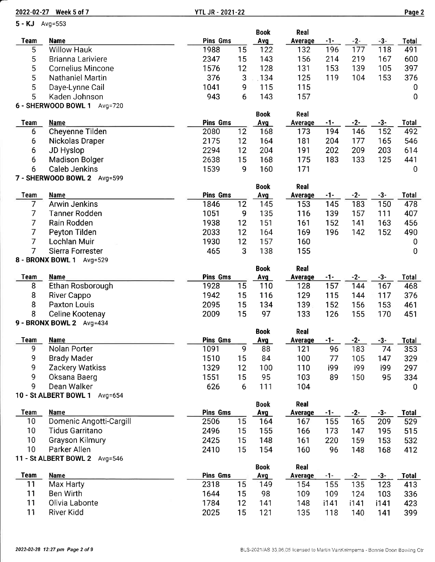2022-02-27 Week 5 of 7 YTL JR - 2021-22 Paqe 2

| 5 - KJ Avg=553   |                                    |                 |              |             |                |            |              |              |                     |
|------------------|------------------------------------|-----------------|--------------|-------------|----------------|------------|--------------|--------------|---------------------|
|                  |                                    |                 |              | <b>Book</b> | Real           |            |              |              |                     |
| <b>Team</b>      | <b>Name</b><br><b>Willow Hauk</b>  | Pins Gms        |              | Avg         | <b>Average</b> | $-1-$      | $-2-$        | $-3-$        | Total<br>491        |
| 5                |                                    | 1988            | 15           | 122         | 132            | 196        | 177          | 118          |                     |
| 5                | Brianna Lariviere                  | 2347            | 15           | 143         | 156            | 214        | 219          | 167          | 600                 |
| 5                | <b>Cornelius Mincone</b>           | 1576            | 12           | 128         | 131            | 153        | 139          | 105          | 397                 |
| 5                | Nathaniel Martin                   | 376             | $\mathbf{3}$ | .134        | 125            | 119        | 104          | 153          | 376                 |
| 5                | Daye-Lynne Cail                    | 1041            | 9            | 115         | 115            |            |              |              | $\bf{0}$            |
| 5                | Kaden Johnson                      | 943             | 6            | 143         | 157            |            |              |              | $\mathbf 0$         |
|                  | 6 - SHERWOOD BOWL 1 Avg=720        |                 |              |             |                |            |              |              |                     |
|                  |                                    | <b>Pins Gms</b> |              | <b>Book</b> | Real           |            |              |              |                     |
| <b>Team</b><br>6 | <b>Name</b><br>Cheyenne Tilden     | 2080            | 12           | Avg<br>168  | Average<br>173 | -1-<br>194 | $-2-$<br>146 | $-3-$<br>152 | <b>Total</b><br>492 |
|                  |                                    |                 |              |             | 181            |            | 177          |              |                     |
| 6                | Nickolas Draper                    | 2175            | 12           | 164         |                | 204        |              | 165          | 546                 |
| 6                | JD Hyslop                          | 2294            | 12           | 204         | 191            | 202        | 209          | 203          | 614                 |
| 6                | <b>Madison Bolger</b>              | 2638            | 15           | 168         | 175            | 183        | 133          | 125          | 441                 |
| 6                | <b>Caleb Jenkins</b>               | 1539            | 9            | 160         | 171            |            |              |              | $\overline{0}$      |
|                  | 7 - SHERWOOD BOWL 2 Avg=599        |                 |              |             |                |            |              |              |                     |
| Team             | Name                               | <b>Pins Gms</b> |              | <b>Book</b> | Real           | $-1-$      | $-2-$        | $-3-$        | <b>Total</b>        |
| 7                | <b>Arwin Jenkins</b>               | 1846            | 12           | Avg<br>145  | Average<br>153 | 145        | 183          | 150          | 478                 |
| 7                | <b>Tanner Rodden</b>               | 1051            |              | 135         | 116            | 139        | 157          | 111          | 407                 |
|                  |                                    |                 | 9            |             |                |            |              |              |                     |
| 7                | Rain Rodden                        | 1938            | 12           | 151         | 161            | 152        | 141          | 163          | 456                 |
| 7                | Peyton Tilden                      | 2033            | 12           | 164         | 169            | 196        | 142          | 152          | 490                 |
| $\overline{7}$   | Lochlan Muir                       | 1930            | 12           | 157         | 160            |            |              |              | 0                   |
| 7                | Sierra Forrester                   | 465             | 3            | 138         | 155            |            |              |              | $\mathbf 0$         |
|                  | 8 - BRONX BOWL 1 Avg=529           |                 |              |             |                |            |              |              |                     |
| <b>Team</b>      | <b>Name</b>                        | <b>Pins Gms</b> |              | <b>Book</b> | Real           | $-1-$      | $-2-$        | $-3-$        | <b>Total</b>        |
| 8                | Ethan Rosborough                   | 1928            | 15           | Avg<br>110  | Average<br>128 | 157        | 144          | 167          | 468                 |
| 8                |                                    | 1942            | 15           | 116         | 129            | 115        | 144          | 117          | 376                 |
| 8                | River Cappo<br><b>Paxton Louis</b> | 2095            |              |             |                | 152        |              |              |                     |
|                  |                                    |                 | 15           | 134         | 139            |            | 156          | 153          | 461                 |
| 8                | Celine Kootenay                    | 2009            | 15           | 97          | 133            | 126        | 155          | 170          | 451                 |
|                  | 9 - BRONX BOWL 2 Avg=434           |                 |              | <b>Book</b> | Real           |            |              |              |                     |
| <u>Team</u>      | <b>Name</b>                        | Pins Gms        |              | <u>Avg</u>  | <b>Average</b> | $-1-$      | $-2-$        | -3-          | Total               |
| 9                | Nolan Porter                       | 1091            | 9            | 88          | 121            | 96         | 183          | 74           | 353                 |
| 9                | <b>Brady Mader</b>                 | 1510            | 15           | 84          | 100            | 77         | 105          | 147          | 329                 |
| 9                | Zackery Watkiss                    | 1329            | 12           | 100         | 110            | i99        | i99          | i99          | 297                 |
| 9                | Oksana Baerg                       | 1551            | 15           | 95          | 103            | 89         | 150          | 95           | 334                 |
| 9                | Dean Walker                        | 626             | 6            | 111         | 104            |            |              |              | 0                   |
|                  | 10 - St ALBERT BOWL 1 Avg=654      |                 |              |             |                |            |              |              |                     |
|                  |                                    |                 |              | Book        | Real           |            |              |              |                     |
| <b>Team</b>      | <b>Name</b>                        | Pins Gms        |              | <b>Avg</b>  | Average        | $-1-$      | $-2-$        | $-3-$        | <b>Total</b>        |
| 10               | Domenic Angotti-Cargill            | 2506            | 15           | 164         | 167            | 155        | 165          | 209          | 529                 |
| 10 <sub>1</sub>  | Tidus Garritano                    | 2496            | 15           | 155         | 166            | 173        | 147          | 195          | 515                 |
| 10               | Grayson Kilmury                    | 2425            | 15           | 148         | 161            | 220        | 159          | 153          | 532                 |
| 10 <sub>1</sub>  | Parker Allen                       | 2410            | 15           | 154         | 160            | 96         | 148          | 168          | 412                 |
|                  | 11 - St ALBERT BOWL 2 Avg=546      |                 |              |             |                |            |              |              |                     |
|                  |                                    |                 |              | <b>Book</b> | Real           |            |              |              |                     |
| <b>Team</b>      | <b>Name</b>                        | <b>Pins Gms</b> |              | Avg         | Average        | $-1-$      | $-2-$        | $-3-$        | Total               |
| 11               | Max Harty                          | 2318            | 15           | 149         | 154            | 155        | 135          | 123          | 413                 |
| 11               | Ben Wirth                          | 1644            | 15           | 98          | 109            | 109        | 124          | 103          | 336                 |
| 11               | Olivia Labonte                     | 1784            | 12           | 141         | 148            | i141       | i141         | i141         | 423                 |
| 11               | River Kidd                         | 2025            | 15           | 121         | 135            | 118        | 140          | 141          | 399                 |
|                  |                                    |                 |              |             |                |            |              |              |                     |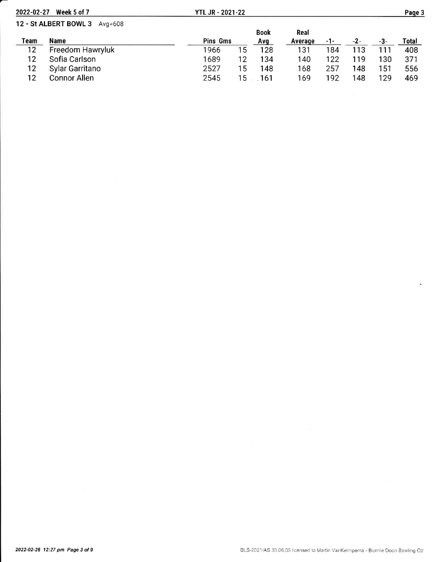| 2022-02-27 | Week 5 of 7                   | <b>YTL JR - 2021-22</b> |    |             |         |     |     |     | Page 3 |
|------------|-------------------------------|-------------------------|----|-------------|---------|-----|-----|-----|--------|
|            | 12 - St ALBERT BOWL 3 Avg=608 |                         |    |             |         |     |     |     |        |
|            |                               |                         |    | <b>Book</b> | Real    |     |     |     |        |
| Team       | Name                          | Pins Gms                |    | Avg         | Average | -1- | -2- | -3- | Total  |
| 12         | Freedom Hawryluk              | 1966                    | 15 | 128         | 131     | 184 | 113 |     | 408    |
| 12         | Sofia Carlson                 | 1689                    | 12 | 134         | 140     | 122 | 119 | 130 | 371    |
| 12         | Sylar Garritano               | 2527                    | 15 | 148         | 168     | 257 | 148 | 151 | 556    |
| 12         | <b>Connor Allen</b>           | 2545                    | 15 | 161         | 169     | 192 | 148 | 129 | 469    |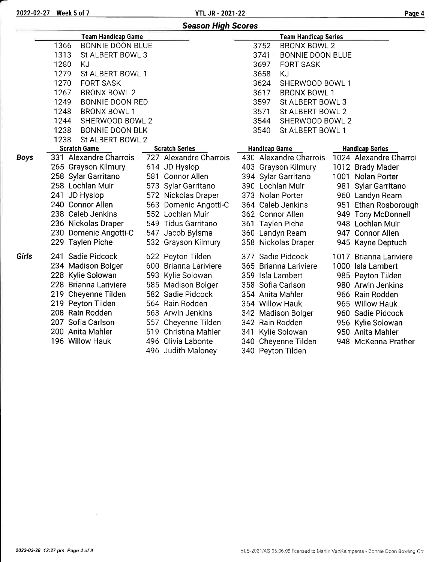|             |                                | <b>Season High Scores</b> |                                 |                        |
|-------------|--------------------------------|---------------------------|---------------------------------|------------------------|
|             | <b>Team Handicap Game</b>      |                           | <b>Team Handicap Series</b>     |                        |
|             | 1366<br>BONNIE DOON BLUE       |                           | 3752<br><b>BRONX BOWL 2</b>     |                        |
|             | 1313<br>St ALBERT BOWL 3       |                           | 3741<br><b>BONNIE DOON BLUE</b> |                        |
|             | 1280<br>KJ                     |                           | 3697<br><b>FORT SASK</b>        |                        |
|             | 1279<br>St ALBERT BOWL 1       |                           | 3658<br>KJ                      |                        |
|             | 1270<br><b>FORT SASK</b>       |                           | 3624<br>SHERWOOD BOWL 1         |                        |
|             | 1267<br><b>BRONX BOWL 2</b>    |                           | 3617<br><b>BRONX BOWL 1</b>     |                        |
|             | 1249<br><b>BONNIE DOON RED</b> |                           | 3597<br>St ALBERT BOWL 3        |                        |
|             | 1248<br><b>BRONX BOWL 1</b>    |                           | 3571<br>St ALBERT BOWL 2        |                        |
|             | 1244<br>SHERWOOD BOWL 2        |                           | 3544<br>SHERWOOD BOWL 2         |                        |
|             | 1238<br><b>BONNIE DOON BLK</b> |                           | St ALBERT BOWL 1<br>3540        |                        |
|             | 1238<br>St ALBERT BOWL 2       |                           |                                 |                        |
|             | <b>Scratch Game</b>            | <b>Scratch Series</b>     | <b>Handicap Game</b>            | <b>Handicap Series</b> |
| <b>Boys</b> | 331 Alexandre Charrois         | 727 Alexandre Charrois    | 430 Alexandre Charrois          | 1024 Alexandre Charroi |
|             | 265 Grayson Kilmury            | 614 JD Hyslop             | 403 Grayson Kilmury             | 1012 Brady Mader       |
|             | 258 Sylar Garritano            | 581 Connor Allen          | 394 Sylar Garritano             | 1001 Nolan Porter      |
|             | 258 Lochlan Muir               | 573 Sylar Garritano       | 390 Lochlan Muir                | 981 Sylar Garritano    |
|             | 241 JD Hyslop                  | 572 Nickolas Draper       | 373 Nolan Porter                | 960 Landyn Ream        |
|             | 240 Connor Allen               | 563 Domenic Angotti-C     | 364 Caleb Jenkins               | 951 Ethan Rosborough   |
|             | 238 Caleb Jenkins              | 552 Lochlan Muir          | 362 Connor Allen                | 949 Tony McDonnell     |
|             | 236 Nickolas Draper            | 549 Tidus Garritano       | 361 Taylen Piche                | 948 Lochlan Muir       |
|             | 230 Domenic Angotti-C          | 547 Jacob Bylsma          | 360 Landyn Ream                 | 947 Connor Allen       |
|             | 229 Taylen Piche               | 532 Grayson Kilmury       | 358 Nickolas Draper             | 945 Kayne Deptuch      |
| Girls       | 241 Sadie Pidcock              | 622 Peyton Tilden         | 377 Sadie Pidcock               | 1017 Brianna Lariviere |
|             | 234 Madison Bolger             | 600 Brianna Lariviere     | 365 Brianna Lariviere           | 1000 Isla Lambert      |
|             | 228 Kylie Solowan              | 593 Kylie Solowan         | 359 Isla Lambert                | 985 Peyton Tilden      |
|             | 228 Brianna Lariviere          | 585 Madison Bolger        | 358 Sofia Carlson               | 980 Arwin Jenkins      |
|             | 219 Cheyenne Tilden            | 582 Sadie Pidcock         | 354 Anita Mahler                | 966 Rain Rodden        |
|             | 219 Peyton Tilden              | 564 Rain Rodden           | 354 Willow Hauk                 | 965 Willow Hauk        |
|             | 208 Rain Rodden                | 563 Arwin Jenkins         | 342 Madison Bolger              | 960 Sadie Pidcock      |
|             | 207 Sofia Carlson              | 557 Cheyenne Tilden       | 342 Rain Rodden                 | 956 Kylie Solowan      |
|             | 200 Anita Mahler               | 519 Christina Mahler      | 341 Kylie Solowan               | 950 Anita Mahler       |
|             | 196 Willow Hauk                | 496 Olivia Labonte        | 340 Cheyenne Tilden             | 948 McKenna Prather    |
|             |                                | 496 Judith Maloney        | 340 Peyton Tilden               |                        |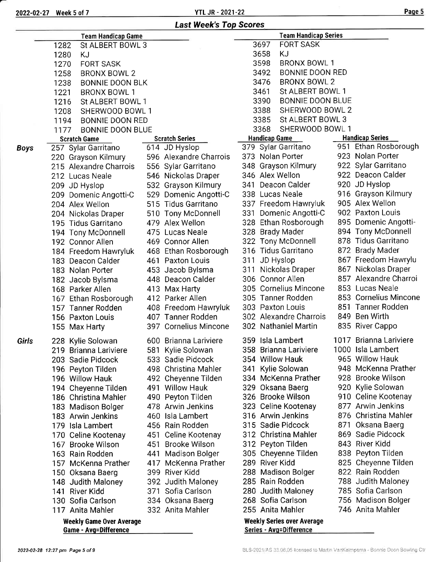Boys

**Girls** 

| г |  |
|---|--|
|   |  |

|       | 2022-02-27 Week 5 of 7          | <b>YTL JR - 2021-22</b>       |                                 | Page 5                 |
|-------|---------------------------------|-------------------------------|---------------------------------|------------------------|
|       |                                 | <b>Last Week's Top Scores</b> |                                 |                        |
|       | <b>Team Handicap Game</b>       |                               | <b>Team Handicap Series</b>     |                        |
|       | 1282<br>St ALBERT BOWL 3        |                               | <b>FORT SASK</b><br>3697        |                        |
|       | 1280<br>ΚJ                      |                               | 3658<br>KJ                      |                        |
|       | <b>FORT SASK</b><br>1270        |                               | <b>BRONX BOWL 1</b><br>3598     |                        |
|       | 1258<br><b>BRONX BOWL 2</b>     |                               | 3492<br><b>BONNIE DOON RED</b>  |                        |
|       | 1238<br><b>BONNIE DOON BLK</b>  |                               | 3476<br><b>BRONX BOWL 2</b>     |                        |
|       | 1221<br><b>BRONX BOWL 1</b>     |                               | St ALBERT BOWL 1<br>3461        |                        |
|       | 1216<br>St ALBERT BOWL 1        |                               | <b>BONNIE DOON BLUE</b><br>3390 |                        |
|       | 1208<br>SHERWOOD BOWL 1         |                               | 3388<br>SHERWOOD BOWL 2         |                        |
|       | 1194<br>BONNIE DOON RED         |                               | St ALBERT BOWL 3<br>3385        |                        |
|       | <b>BONNIE DOON BLUE</b><br>1177 |                               | 3368<br>SHERWOOD BOWL 1         |                        |
|       | <b>Scratch Game</b>             | <b>Scratch Series</b>         | <b>Handicap Game</b>            | <b>Handicap Series</b> |
| Boys  | 257 Sylar Garritano             | 614 JD Hyslop                 | 379 Sylar Garritano             | 951 Ethan Rosborough   |
|       | 220 Grayson Kilmury             | 596 Alexandre Charrois        | 373 Nolan Porter                | 923 Nolan Porter       |
|       | 215 Alexandre Charrois          | 556 Sylar Garritano           | 348 Grayson Kilmury             | 922 Sylar Garritano    |
|       | 212 Lucas Neale                 | 546 Nickolas Draper           | 346 Alex Wellon                 | 922 Deacon Calder      |
|       | 209 JD Hyslop                   | 532 Grayson Kilmury           | Deacon Calder<br>341            | 920 JD Hyslop          |
|       | 209 Domenic Angotti-C           | 529 Domenic Angotti-C         | 338 Lucas Neale                 | 916 Grayson Kilmury    |
|       | 204 Alex Wellon                 | 515 Tidus Garritano           | 337 Freedom Hawryluk            | 905 Alex Wellon        |
|       | 204 Nickolas Draper             | 510 Tony McDonnell            | Domenic Angotti-C<br>331        | 902 Paxton Louis       |
|       | 195 Tidus Garritano             | 479 Alex Wellon               | 328 Ethan Rosborough            | 895 Domenic Angotti-   |
|       | 194 Tony McDonnell              | 475 Lucas Neale               | 328 Brady Mader                 | 894 Tony McDonnell     |
|       | 192 Connor Allen                | 469 Connor Allen              | 322 Tony McDonnell              | 878 Tidus Garritano    |
|       | 184 Freedom Hawryluk            | 468 Ethan Rosborough          | 316 Tidus Garritano             | 872 Brady Mader        |
|       | 183 Deacon Calder               | 461 Paxton Louis              | JD Hyslop<br>311                | 867 Freedom Hawrylu    |
|       | 183 Nolan Porter                | 453 Jacob Bylsma              | Nickolas Draper<br>311          | 867 Nickolas Draper    |
|       | 182 Jacob Bylsma                | 448 Deacon Calder             | 306 Connor Allen                | 857 Alexandre Charroi  |
|       | 168 Parker Allen                | 413 Max Harty                 | 305 Cornelius Mincone           | 853 Lucas Neale        |
|       | 167 Ethan Rosborough            | 412 Parker Allen              | 305 Tanner Rodden               | 853 Cornelius Mincone  |
|       | 157 Tanner Rodden               | 408 Freedom Hawryluk          | 303 Paxton Louis                | 851 Tanner Rodden      |
|       | 156 Paxton Louis                | 407 Tanner Rodden             | 302 Alexandre Charrois          | 849 Ben Wirth          |
|       | 155 Max Harty                   | 397 Cornelius Mincone         | 302 Nathaniel Martin            | 835 River Cappo        |
| Girls | 228 Kylie Solowan               | 600 Brianna Lariviere         | 359 Isla Lambert                | 1017 Brianna Lariviere |
|       | 219 Brianna Lariviere           | 581 Kylie Solowan             | 358 Brianna Lariviere           | 1000 Isla Lambert      |
|       | 203 Sadie Pidcock               | 533 Sadie Pidcock             | 354 Willow Hauk                 | 965 Willow Hauk        |
|       | 196 Peyton Tilden               | 498 Christina Mahler          | 341 Kylie Solowan               | 948 McKenna Prather    |
|       | 196 Willow Hauk                 | 492 Cheyenne Tilden           | 334 McKenna Prather             | 928 Brooke Wilson      |
|       | 194 Cheyenne Tilden             | 491 Willow Hauk               | 329 Oksana Baerg                | 920 Kylie Solowan      |
|       | 186 Christina Mahler            | 490 Peyton Tilden             | 326 Brooke Wilson               | 910 Celine Kootenay    |
|       | 183 Madison Bolger              | 478 Arwin Jenkins             | 323 Celine Kootenay             | 877 Arwin Jenkins      |
|       | 183 Arwin Jenkins               | 460 Isla Lambert              | 316 Arwin Jenkins               | 876 Christina Mahler   |
|       | 179 Isla Lambert                | 456 Rain Rodden               | 315 Sadie Pidcock               | 871 Oksana Baerg       |
|       | 170 Celine Kootenay             | 451 Celine Kootenay           | 312 Christina Mahler            | 869 Sadie Pidcock      |
|       | 167 Brooke Wilson               | 451 Brooke Wilson             | 312 Peyton Tilden               | 843 River Kidd         |
|       | 163 Rain Rodden                 | 441 Madison Bolger            | 305 Cheyenne Tilden             | 838 Peyton Tilden      |
|       | 157 McKenna Prather             | 417 McKenna Prather           | 289 River Kidd                  | 825 Cheyenne Tilden    |

River Kidd Judith Maloney Sofia Carlson Oksana Baerg Anita Mahler

- Rain Rodden
- Judith Maloney
- Sofia Carlson
- Madison Bolger
- 746 Anita Mahler

Weekly Series over Average Series - Avg=Difference

Madison Bolger Rain Rodden Judith Maloney Sofia Carlson Anita Mahler

50 Oksana Baerg Judith Maloney River Kidd Sofia Carlson Anita Mahler

> Weekly Game Over Average Game - Avg=Difference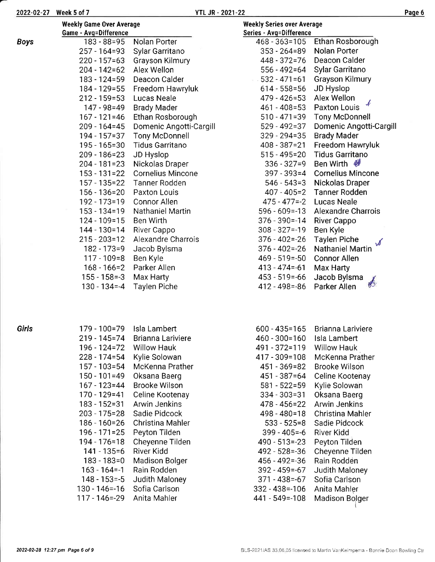| - 0≁ |  |
|------|--|
|------|--|

|             | <b>Weekly Game Over Average</b> |                          | <b>Weekly Series over Average</b> |                           |
|-------------|---------------------------------|--------------------------|-----------------------------------|---------------------------|
|             | <b>Game - Avg=Difference</b>    |                          | Series - Avg=Difference           |                           |
| <b>Boys</b> | $183 - 88 = 95$                 | Nolan Porter             | $468 - 363 = 105$                 | Ethan Rosborough          |
|             | $257 - 164 = 93$                | Sylar Garritano          | $353 - 264 = 89$                  | Nolan Porter              |
|             | $220 - 157 = 63$                | Grayson Kilmury          | 448 - 372 = 76                    | Deacon Calder             |
|             | $204 - 142 = 62$                | Alex Wellon              | $556 - 492 = 64$                  | Sylar Garritano           |
|             | $183 - 124 = 59$                | Deacon Calder            | $.532 - 471 = 61$                 | <b>Grayson Kilmury</b>    |
|             | 184 - 129 = 55                  | Freedom Hawryluk         | $614 - 558 = 56$                  | JD Hyslop                 |
|             | $212 - 159 = 53$                | Lucas Neale              | $479 - 426 = 53$                  | Alex Wellon               |
|             | $147 - 98 = 49$                 | <b>Brady Mader</b>       | $461 - 408 = 53$                  | Paxton Louis              |
|             | $167 - 121 = 46$                | Ethan Rosborough         | $510 - 471 = 39$                  | <b>Tony McDonnell</b>     |
|             | $209 - 164 = 45$                | Domenic Angotti-Cargill  | $529 - 492 = 37$                  | Domenic Angotti-Cargill   |
|             | $194 - 157 = 37$                | <b>Tony McDonnell</b>    | $329 - 294 = 35$                  | <b>Brady Mader</b>        |
|             | $195 - 165 = 30$                | <b>Tidus Garritano</b>   | $408 - 387 = 21$                  | Freedom Hawryluk          |
|             | $209 - 186 = 23$                | JD Hyslop                | $515 - 495 = 20$                  | <b>Tidus Garritano</b>    |
|             | $204 - 181 = 23$                | Nickolas Draper          | $336 - 327 = 9$                   | Ben Wirth $\mathcal{W}$   |
|             | $153 - 131 = 22$                | <b>Cornelius Mincone</b> | $397 - 393 = 4$                   | <b>Cornelius Mincone</b>  |
|             | $157 - 135 = 22$                | <b>Tanner Rodden</b>     | $546 - 543 = 3$                   | Nickolas Draper           |
|             | $156 - 136 = 20$                | Paxton Louis             | $407 - 405 = 2$                   | <b>Tanner Rodden</b>      |
|             | 192 - 173 = 19                  | Connor Allen             | $475 - 477 = -2$                  | <b>Lucas Neale</b>        |
|             | $153 - 134 = 19$                | Nathaniel Martin         | $596 - 609 = -13$                 | <b>Alexandre Charrois</b> |
|             | $124 - 109 = 15$                | Ben Wirth                | $376 - 390 = -14$                 | <b>River Cappo</b>        |
|             | 144 - 130 = 14                  | River Cappo              | $308 - 327 = -19$                 | Ben Kyle                  |
|             | $215 - 203 = 12$                | Alexandre Charrois       | $376 - 402 = -26$                 | <b>Taylen Piche</b>       |
|             | $182 - 173 = 9$                 | Jacob Bylsma             | $376 - 402 = -26$                 | <b>Nathaniel Martin</b>   |
|             | $117 - 109 = 8$                 | Ben Kyle                 | $469 - 519 = -50$                 | <b>Connor Allen</b>       |
|             | $168 - 166 = 2$                 | Parker Allen             | $413 - 474 = -61$                 | Max Harty                 |
|             | $155 - 158 = -3$                | Max Harty                | $453 - 519 = -66$                 | Jacob Bylsma              |
|             | $130 - 134 = -4$                | <b>Taylen Piche</b>      | $412 - 498 = -86$                 | Parker Allen              |
|             |                                 |                          |                                   |                           |
|             |                                 |                          |                                   |                           |

Girls

| 196 - 124=72<br>Willow Hauk<br>228 - 174=54<br>Kylie Solowan<br>157 - 103 = 54<br>150 - 101=49<br>167 - 123=44<br>170 - 129=41<br>183 - 152=31<br>203 - 175=28<br>186 - 160=26<br>196 - 171=25<br>194 - 176=18<br>141 - 135=6<br>183 - 183=0<br>163 - 164 -- 1<br>148 - 153 = - 5<br>130 - 146 = - 16<br>117 - 146=-29 | McKenna Prather<br>Oksana Baerg<br>Brooke Wilson<br>Celine Kootenay<br>Arwin Jenkins<br>Sadie Pidcock<br>Christina Mahler<br>Peyton Tilden<br>Cheyenne Tilden<br>River Kidd<br>Madison Bolger<br>Rain Rodden<br>Judith Maloney<br>Sofia Carlson<br>Anita Mahler |
|------------------------------------------------------------------------------------------------------------------------------------------------------------------------------------------------------------------------------------------------------------------------------------------------------------------------|-----------------------------------------------------------------------------------------------------------------------------------------------------------------------------------------------------------------------------------------------------------------|
|------------------------------------------------------------------------------------------------------------------------------------------------------------------------------------------------------------------------------------------------------------------------------------------------------------------------|-----------------------------------------------------------------------------------------------------------------------------------------------------------------------------------------------------------------------------------------------------------------|

| 600 - 435=165     | Brianna Lariviere  |
|-------------------|--------------------|
| 460 - 300=160     | Isla Lambert       |
| 491 - 372=119     | <b>Willow Hauk</b> |
| 417 - 309=108     | McKenna Prather    |
| 451 - 369=82      | Brooke Wilson      |
| 451 - 387=64      | Celine Kootenay    |
| 581 - 522=59      | Kylie Solowan      |
| 334 - 303 = 31    | Oksana Baerg       |
| 478 - 456=22      | Arwin Jenkins      |
| 498 - 480=18      | Christina Mahler   |
| $533 - 525 = 8$   | Sadie Pidcock      |
| $399 - 405 = -6$  | River Kidd         |
| 490 - 513 = - 23  | Peyton Tilden      |
| 492 - 528=-36     | Cheyenne Tilden    |
| 456 - 492 = - 36  | Rain Rodden        |
| 392 - 459 = - 67  | Judith Maloney     |
| 371 - 438 = - 67  | Sofia Carlson      |
| 332 - 438=-106    | Anita Mahler       |
| 441 - 549 = - 108 | Madison Bolger     |
|                   |                    |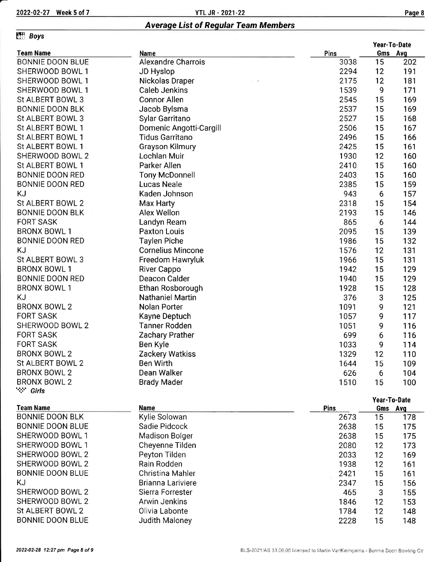# Averaqe List of Reqular Team Members

## Effi Boys

|                                                 |                          |      | Year-To-Date |     |  |
|-------------------------------------------------|--------------------------|------|--------------|-----|--|
| <b>Team Name</b>                                | Name                     | Pins | Gms Avg      |     |  |
| <b>BONNIE DOON BLUE</b>                         | Alexandre Charrois       | 3038 | 15           | 202 |  |
| SHERWOOD BOWL 1                                 | JD Hyslop                | 2294 | 12           | 191 |  |
| SHERWOOD BOWL 1                                 | Nickolas Draper          | 2175 | 12           | 181 |  |
| SHERWOOD BOWL 1                                 | <b>Caleb Jenkins</b>     | 1539 | 9            | 171 |  |
| St ALBERT BOWL 3                                | <b>Connor Allen</b>      | 2545 | 15           | 169 |  |
| <b>BONNIE DOON BLK</b>                          | Jacob Bylsma             | 2537 | 15           | 169 |  |
| St ALBERT BOWL 3                                | Sylar Garritano          | 2527 | 15           | 168 |  |
| St ALBERT BOWL 1                                | Domenic Angotti-Cargill  | 2506 | 15           | 167 |  |
| St ALBERT BOWL 1                                | <b>Tidus Garritano</b>   | 2496 | 15           | 166 |  |
| St ALBERT BOWL 1                                | <b>Grayson Kilmury</b>   | 2425 | 15           | 161 |  |
| SHERWOOD BOWL 2                                 | Lochlan Muir             |      | 12           | 160 |  |
| St ALBERT BOWL 1                                | Parker Allen             |      | 15           | 160 |  |
| <b>BONNIE DOON RED</b><br><b>Tony McDonnell</b> |                          | 2403 | 15           | 160 |  |
| <b>BONNIE DOON RED</b><br><b>Lucas Neale</b>    |                          | 2385 | 15           | 159 |  |
| KJ                                              | Kaden Johnson            | 943  | 6            | 157 |  |
| St ALBERT BOWL 2                                | Max Harty                | 2318 | 15           | 154 |  |
| <b>BONNIE DOON BLK</b>                          | Alex Wellon              | 2193 | 15           | 146 |  |
| <b>FORT SASK</b>                                | Landyn Ream              | 865  | 6            | 144 |  |
| <b>BRONX BOWL 1</b>                             | <b>Paxton Louis</b>      | 2095 | 15           | 139 |  |
| <b>BONNIE DOON RED</b>                          | <b>Taylen Piche</b>      | 1986 | 15           | 132 |  |
| KJ                                              | <b>Cornelius Mincone</b> | 1576 | 12           | 131 |  |
| St ALBERT BOWL 3                                | Freedom Hawryluk         | 1966 | 15           | 131 |  |
| <b>BRONX BOWL 1</b>                             | River Cappo              | 1942 | 15           | 129 |  |
| <b>BONNIE DOON RED</b><br>Deacon Calder         |                          | 1940 | 15           | 129 |  |
| <b>BRONX BOWL 1</b>                             | Ethan Rosborough         | 1928 | 15           | 128 |  |
| KJ                                              | <b>Nathaniel Martin</b>  | 376  | 3            | 125 |  |
| <b>BRONX BOWL 2</b>                             | Nolan Porter             | 1091 | 9            | 121 |  |
| <b>FORT SASK</b>                                | Kayne Deptuch            | 1057 | 9            | 117 |  |
| SHERWOOD BOWL 2                                 | <b>Tanner Rodden</b>     | 1051 | 9            | 116 |  |
| <b>FORT SASK</b>                                | Zachary Prather          | 699  | 6            | 116 |  |
| <b>FORT SASK</b>                                | Ben Kyle                 | 1033 | 9            | 114 |  |
| <b>BRONX BOWL 2</b>                             | Zackery Watkiss          | 1329 | 12           | 110 |  |
| St ALBERT BOWL 2                                | Ben Wirth                | 1644 | 15           | 109 |  |
| <b>BRONX BOWL 2</b>                             | Dean Walker              | 626  | 6            | 104 |  |
| <b>BRONX BOWL 2</b><br><b>Brady Mader</b>       |                          | 1510 | 15           | 100 |  |
| ∵∵ Girls                                        |                          |      |              |     |  |
|                                                 |                          |      | Year-To-Date |     |  |
| <b>Team Name</b>                                | <b>Name</b>              | Pins | Gms Avg      |     |  |
| <b>BONNIE DOON BLK</b>                          | Kylie Solowan            | 2673 | 15           | 178 |  |
| BONNIE DOON BLUE<br>Sadie Pidcock               |                          | 2638 | 15           | 175 |  |

| DUNNIE DUUN BLK  | Kylle Solowan     | 2073 | כ ו | 178 |  |
|------------------|-------------------|------|-----|-----|--|
| BONNIE DOON BLUE | Sadie Pidcock     | 2638 | 15  | 175 |  |
| SHERWOOD BOWL 1  | Madison Bolger    | 2638 | 15  | 175 |  |
| SHERWOOD BOWL 1  | Cheyenne Tilden   | 2080 | 12  | 173 |  |
| SHERWOOD BOWL 2  | Peyton Tilden     | 2033 | 12  | 169 |  |
| SHERWOOD BOWL 2  | Rain Rodden       | 1938 | 12  | 161 |  |
| BONNIE DOON BLUE | Christina Mahler  | 2421 | 15  | 161 |  |
| ΚJ               | Brianna Lariviere | 2347 | 15  | 156 |  |
| SHERWOOD BOWL 2  | Sierra Forrester  | 465  | 3   | 155 |  |
| SHERWOOD BOWL 2  | Arwin Jenkins     | 1846 | 12  | 153 |  |
| St ALBERT BOWL 2 | Olivia Labonte    | 1784 | 12  | 148 |  |
| BONNIE DOON BLUE | Judith Maloney    | 2228 | 15  | 148 |  |
|                  |                   |      |     |     |  |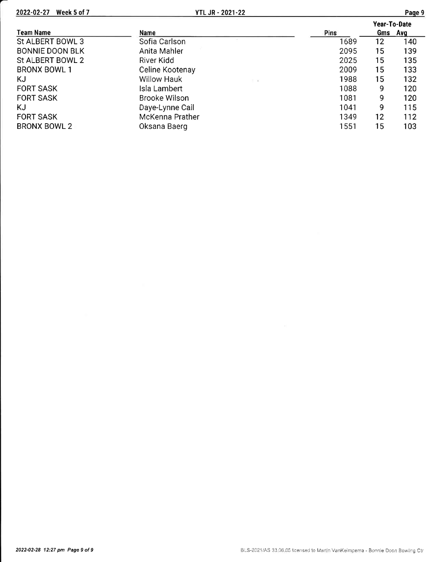2022-02-27 Week 5 of 7

|                        |                           |      | Year-To-Date |     |
|------------------------|---------------------------|------|--------------|-----|
| <b>Team Name</b>       | Name                      | Pins | Gms          | Avg |
| St ALBERT BOWL 3       | Sofia Carlson             | 1689 | 12           | 140 |
| <b>BONNIE DOON BLK</b> | Anita Mahler              | 2095 | 15           | 139 |
| St ALBERT BOWL 2       | River Kidd                | 2025 | 15           | 135 |
| <b>BRONX BOWL 1</b>    | Celine Kootenay           | 2009 | 15           | 133 |
| KJ                     | <b>Willow Hauk</b><br>不 関 | 1988 | 15           | 132 |
| <b>FORT SASK</b>       | Isla Lambert              | 1088 | 9            | 120 |
| <b>FORT SASK</b>       | <b>Brooke Wilson</b>      | 1081 | 9            | 120 |
| KJ                     | Daye-Lynne Cail           | 1041 | 9            | 115 |
| <b>FORT SASK</b>       | McKenna Prather           | 1349 | 12           | 112 |
| <b>BRONX BOWL 2</b>    | Oksana Baerg              | 1551 | 15           | 103 |